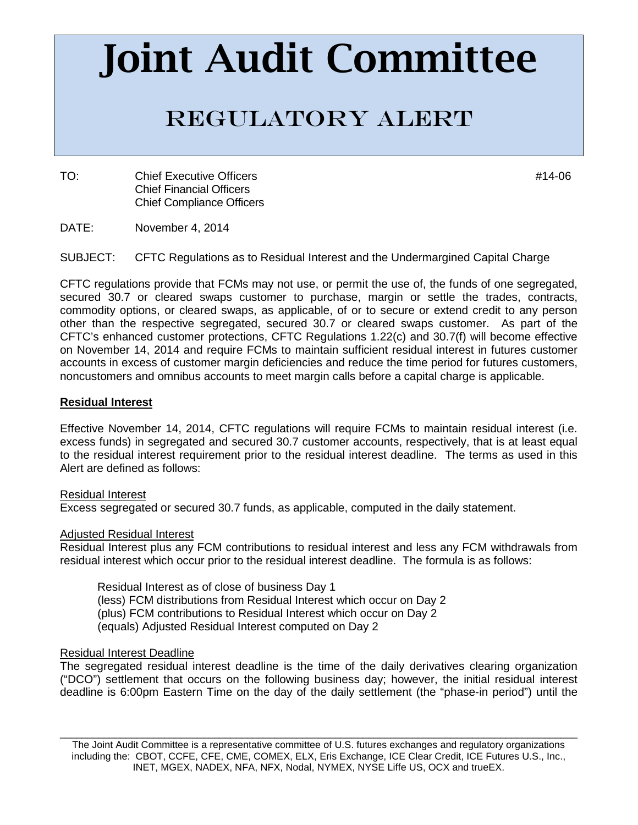# Joint Audit Committee

## Regulatory Alert

TO: Chief Executive Officers **Account 2006** 2012 12:00 12:00 12:00 12:00 12:00 12:00 12:00 12:00 12:00 12:00 12:00 12:00 12:00 12:00 12:00 12:00 12:00 12:00 12:00 12:00 12:00 12:00 12:00 12:00 12:00 12:00 12:00 12:00 12:00 Chief Financial Officers Chief Compliance Officers

DATE: November 4, 2014

SUBJECT: CFTC Regulations as to Residual Interest and the Undermargined Capital Charge

CFTC regulations provide that FCMs may not use, or permit the use of, the funds of one segregated, secured 30.7 or cleared swaps customer to purchase, margin or settle the trades, contracts, commodity options, or cleared swaps, as applicable, of or to secure or extend credit to any person other than the respective segregated, secured 30.7 or cleared swaps customer. As part of the CFTC's enhanced customer protections, CFTC Regulations 1.22(c) and 30.7(f) will become effective on November 14, 2014 and require FCMs to maintain sufficient residual interest in futures customer accounts in excess of customer margin deficiencies and reduce the time period for futures customers, noncustomers and omnibus accounts to meet margin calls before a capital charge is applicable.

#### **Residual Interest**

Effective November 14, 2014, CFTC regulations will require FCMs to maintain residual interest (i.e. excess funds) in segregated and secured 30.7 customer accounts, respectively, that is at least equal to the residual interest requirement prior to the residual interest deadline. The terms as used in this Alert are defined as follows:

#### Residual Interest

Excess segregated or secured 30.7 funds, as applicable, computed in the daily statement.

#### Adjusted Residual Interest

Residual Interest plus any FCM contributions to residual interest and less any FCM withdrawals from residual interest which occur prior to the residual interest deadline. The formula is as follows:

Residual Interest as of close of business Day 1 (less) FCM distributions from Residual Interest which occur on Day 2 (plus) FCM contributions to Residual Interest which occur on Day 2 (equals) Adjusted Residual Interest computed on Day 2

#### <span id="page-0-0"></span>Residual Interest Deadline

The segregated residual interest deadline is the time of the daily derivatives clearing organization ("DCO") settlement that occurs on the following business day; however, the initial residual interest deadline is 6:00pm Eastern Time on the day of the daily settlement (the "phase-in period") until the

\_\_\_\_\_\_\_\_\_\_\_\_\_\_\_\_\_\_\_\_\_\_\_\_\_\_\_\_\_\_\_\_\_\_\_\_\_\_\_\_\_\_\_\_\_\_\_\_\_\_\_\_\_\_\_\_\_\_\_\_\_\_\_\_\_\_\_\_\_\_\_\_\_\_\_\_\_\_\_\_\_\_\_\_\_\_\_\_\_\_\_\_\_\_ The Joint Audit Committee is a representative committee of U.S. futures exchanges and regulatory organizations including the: CBOT, CCFE, CFE, CME, COMEX, ELX, Eris Exchange, ICE Clear Credit, ICE Futures U.S., Inc., INET, MGEX, NADEX, NFA, NFX, Nodal, NYMEX, NYSE Liffe US, OCX and trueEX.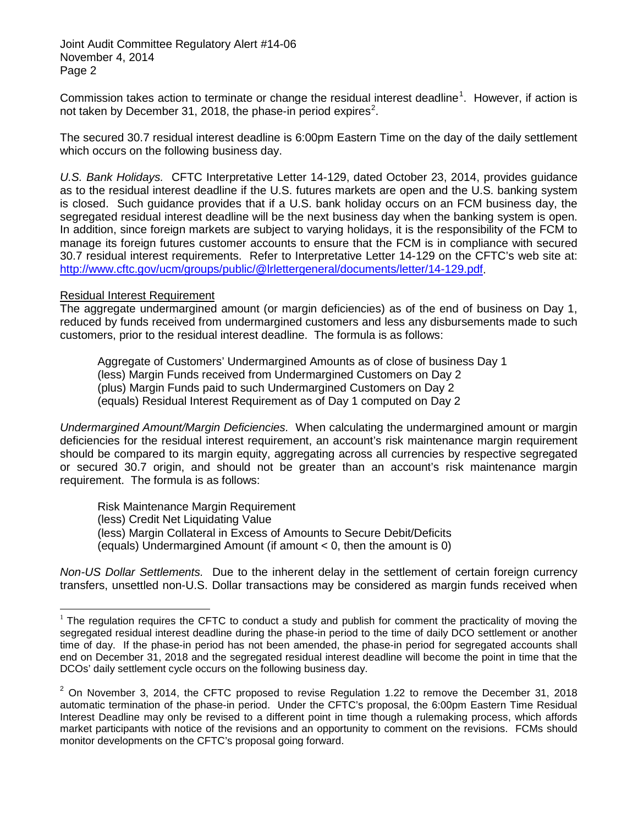Commission takes action to terminate or change the residual interest deadline<sup>[1](#page-0-0)</sup>. However, if action is not taken by December 31, [2](#page-1-0)018, the phase-in period expires<sup>2</sup>.

The secured 30.7 residual interest deadline is 6:00pm Eastern Time on the day of the daily settlement which occurs on the following business day.

*U.S. Bank Holidays.* CFTC Interpretative Letter 14-129, dated October 23, 2014, provides guidance as to the residual interest deadline if the U.S. futures markets are open and the U.S. banking system is closed. Such guidance provides that if a U.S. bank holiday occurs on an FCM business day, the segregated residual interest deadline will be the next business day when the banking system is open. In addition, since foreign markets are subject to varying holidays, it is the responsibility of the FCM to manage its foreign futures customer accounts to ensure that the FCM is in compliance with secured 30.7 residual interest requirements. Refer to Interpretative Letter 14-129 on the CFTC's web site at: [http://www.cftc.gov/ucm/groups/public/@lrlettergeneral/documents/letter/14-129.pdf.](http://www.cftc.gov/ucm/groups/public/@lrlettergeneral/documents/letter/14-129.pdf)

#### Residual Interest Requirement

The aggregate undermargined amount (or margin deficiencies) as of the end of business on Day 1, reduced by funds received from undermargined customers and less any disbursements made to such customers, prior to the residual interest deadline. The formula is as follows:

Aggregate of Customers' Undermargined Amounts as of close of business Day 1 (less) Margin Funds received from Undermargined Customers on Day 2 (plus) Margin Funds paid to such Undermargined Customers on Day 2 (equals) Residual Interest Requirement as of Day 1 computed on Day 2

*Undermargined Amount/Margin Deficiencies.* When calculating the undermargined amount or margin deficiencies for the residual interest requirement, an account's risk maintenance margin requirement should be compared to its margin equity, aggregating across all currencies by respective segregated or secured 30.7 origin, and should not be greater than an account's risk maintenance margin requirement. The formula is as follows:

Risk Maintenance Margin Requirement

(less) Credit Net Liquidating Value

(less) Margin Collateral in Excess of Amounts to Secure Debit/Deficits

(equals) Undermargined Amount (if amount < 0, then the amount is 0)

*Non-US Dollar Settlements.* Due to the inherent delay in the settlement of certain foreign currency transfers, unsettled non-U.S. Dollar transactions may be considered as margin funds received when

 $1$  The regulation requires the CFTC to conduct a study and publish for comment the practicality of moving the segregated residual interest deadline during the phase-in period to the time of daily DCO settlement or another time of day. If the phase-in period has not been amended, the phase-in period for segregated accounts shall end on December 31, 2018 and the segregated residual interest deadline will become the point in time that the DCOs' daily settlement cycle occurs on the following business day.

<span id="page-1-0"></span> $2$  On November 3, 2014, the CFTC proposed to revise Regulation 1.22 to remove the December 31, 2018 automatic termination of the phase-in period. Under the CFTC's proposal, the 6:00pm Eastern Time Residual Interest Deadline may only be revised to a different point in time though a rulemaking process, which affords market participants with notice of the revisions and an opportunity to comment on the revisions. FCMs should monitor developments on the CFTC's proposal going forward.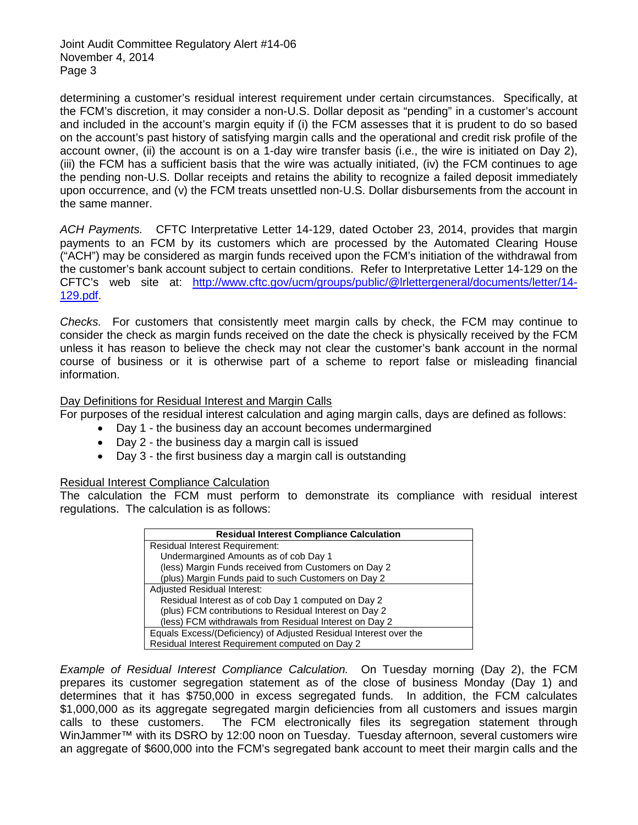determining a customer's residual interest requirement under certain circumstances. Specifically, at the FCM's discretion, it may consider a non-U.S. Dollar deposit as "pending" in a customer's account and included in the account's margin equity if (i) the FCM assesses that it is prudent to do so based on the account's past history of satisfying margin calls and the operational and credit risk profile of the account owner, (ii) the account is on a 1-day wire transfer basis (i.e., the wire is initiated on Day 2), (iii) the FCM has a sufficient basis that the wire was actually initiated, (iv) the FCM continues to age the pending non-U.S. Dollar receipts and retains the ability to recognize a failed deposit immediately upon occurrence, and (v) the FCM treats unsettled non-U.S. Dollar disbursements from the account in the same manner.

*ACH Payments.* CFTC Interpretative Letter 14-129, dated October 23, 2014, provides that margin payments to an FCM by its customers which are processed by the Automated Clearing House ("ACH") may be considered as margin funds received upon the FCM's initiation of the withdrawal from the customer's bank account subject to certain conditions. Refer to Interpretative Letter 14-129 on the CFTC's web site at: [http://www.cftc.gov/ucm/groups/public/@lrlettergeneral/documents/letter/14-](http://www.cftc.gov/ucm/groups/public/@lrlettergeneral/documents/letter/14-129.pdf) [129.pdf.](http://www.cftc.gov/ucm/groups/public/@lrlettergeneral/documents/letter/14-129.pdf)

*Checks.* For customers that consistently meet margin calls by check, the FCM may continue to consider the check as margin funds received on the date the check is physically received by the FCM unless it has reason to believe the check may not clear the customer's bank account in the normal course of business or it is otherwise part of a scheme to report false or misleading financial information.

#### Day Definitions for Residual Interest and Margin Calls

For purposes of the residual interest calculation and aging margin calls, days are defined as follows:

- Day 1 the business day an account becomes undermargined
- Day 2 the business day a margin call is issued
- Day 3 the first business day a margin call is outstanding

#### Residual Interest Compliance Calculation

The calculation the FCM must perform to demonstrate its compliance with residual interest regulations. The calculation is as follows:

| <b>Residual Interest Compliance Calculation</b>                   |  |  |
|-------------------------------------------------------------------|--|--|
| Residual Interest Requirement:                                    |  |  |
| Undermargined Amounts as of cob Day 1                             |  |  |
| (less) Margin Funds received from Customers on Day 2              |  |  |
| (plus) Margin Funds paid to such Customers on Day 2               |  |  |
| Adjusted Residual Interest:                                       |  |  |
| Residual Interest as of cob Day 1 computed on Day 2               |  |  |
| (plus) FCM contributions to Residual Interest on Day 2            |  |  |
| (less) FCM withdrawals from Residual Interest on Day 2            |  |  |
| Equals Excess/(Deficiency) of Adjusted Residual Interest over the |  |  |
| Residual Interest Requirement computed on Day 2                   |  |  |

*Example of Residual Interest Compliance Calculation.* On Tuesday morning (Day 2), the FCM prepares its customer segregation statement as of the close of business Monday (Day 1) and determines that it has \$750,000 in excess segregated funds. In addition, the FCM calculates \$1,000,000 as its aggregate segregated margin deficiencies from all customers and issues margin calls to these customers. The FCM electronically files its segregation statement through WinJammer<sup>™</sup> with its DSRO by 12:00 noon on Tuesday. Tuesday afternoon, several customers wire an aggregate of \$600,000 into the FCM's segregated bank account to meet their margin calls and the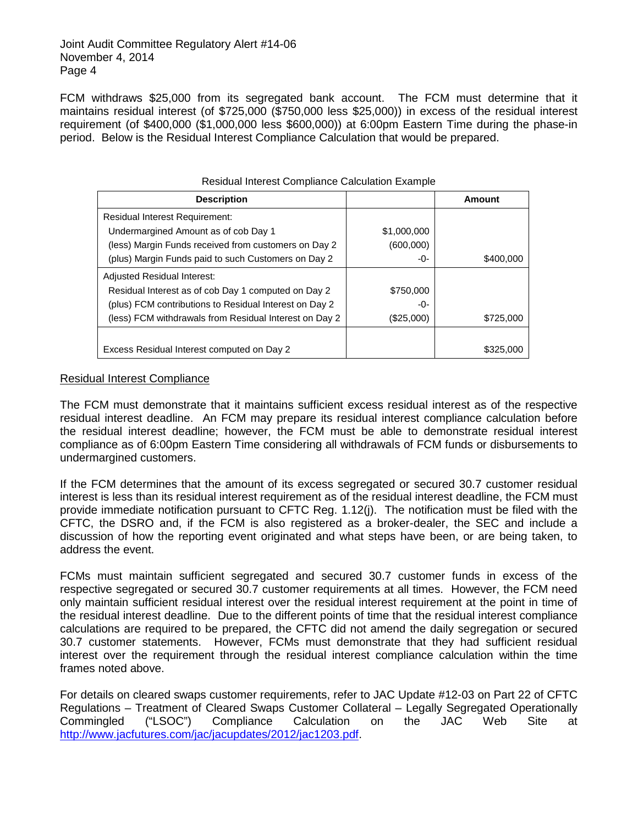FCM withdraws \$25,000 from its segregated bank account. The FCM must determine that it maintains residual interest (of \$725,000 (\$750,000 less \$25,000)) in excess of the residual interest requirement (of \$400,000 (\$1,000,000 less \$600,000)) at 6:00pm Eastern Time during the phase-in period. Below is the Residual Interest Compliance Calculation that would be prepared.

| <b>INCORDINAL INTERNATIONAL CONTINUES CONCORDING LAGRITIPIC</b> |             |           |  |
|-----------------------------------------------------------------|-------------|-----------|--|
| <b>Description</b>                                              |             | Amount    |  |
| Residual Interest Requirement:                                  |             |           |  |
| Undermargined Amount as of cob Day 1                            | \$1,000,000 |           |  |
| (less) Margin Funds received from customers on Day 2            | (600,000)   |           |  |
| (plus) Margin Funds paid to such Customers on Day 2             | -0-         | \$400,000 |  |
| Adjusted Residual Interest:                                     |             |           |  |
| Residual Interest as of cob Day 1 computed on Day 2             | \$750,000   |           |  |
| (plus) FCM contributions to Residual Interest on Day 2          | -0-         |           |  |
| (less) FCM withdrawals from Residual Interest on Day 2          | (\$25,000)  | \$725,000 |  |
|                                                                 |             |           |  |
| Excess Residual Interest computed on Day 2                      |             | \$325,000 |  |

### Residual Interest Compliance Calculation Example

#### Residual Interest Compliance

The FCM must demonstrate that it maintains sufficient excess residual interest as of the respective residual interest deadline. An FCM may prepare its residual interest compliance calculation before the residual interest deadline; however, the FCM must be able to demonstrate residual interest compliance as of 6:00pm Eastern Time considering all withdrawals of FCM funds or disbursements to undermargined customers.

If the FCM determines that the amount of its excess segregated or secured 30.7 customer residual interest is less than its residual interest requirement as of the residual interest deadline, the FCM must provide immediate notification pursuant to CFTC Reg. 1.12(j). The notification must be filed with the CFTC, the DSRO and, if the FCM is also registered as a broker-dealer, the SEC and include a discussion of how the reporting event originated and what steps have been, or are being taken, to address the event.

FCMs must maintain sufficient segregated and secured 30.7 customer funds in excess of the respective segregated or secured 30.7 customer requirements at all times. However, the FCM need only maintain sufficient residual interest over the residual interest requirement at the point in time of the residual interest deadline. Due to the different points of time that the residual interest compliance calculations are required to be prepared, the CFTC did not amend the daily segregation or secured 30.7 customer statements. However, FCMs must demonstrate that they had sufficient residual interest over the requirement through the residual interest compliance calculation within the time frames noted above.

For details on cleared swaps customer requirements, refer to JAC Update #12-03 on Part 22 of CFTC Regulations – Treatment of Cleared Swaps Customer Collateral – Legally Segregated Operationally Commingled ("LSOC") Compliance Calculation on the JAC Web Site at [http://www.jacfutures.com/jac/jacupdates/2012/jac1203.pdf.](http://www.jacfutures.com/jac/jacupdates/2012/jac1203.pdf)